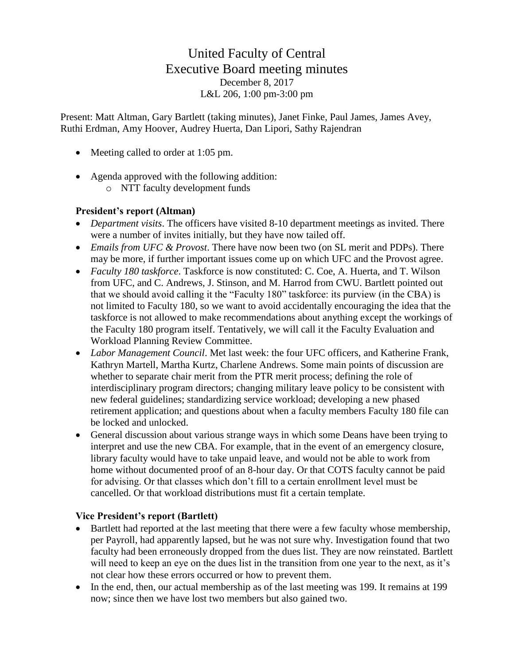# United Faculty of Central Executive Board meeting minutes December 8, 2017 L&L 206, 1:00 pm-3:00 pm

Present: Matt Altman, Gary Bartlett (taking minutes), Janet Finke, Paul James, James Avey, Ruthi Erdman, Amy Hoover, Audrey Huerta, Dan Lipori, Sathy Rajendran

- Meeting called to order at 1:05 pm.
- Agenda approved with the following addition:
	- o NTT faculty development funds

# **President's report (Altman)**

- *Department visits*. The officers have visited 8-10 department meetings as invited. There were a number of invites initially, but they have now tailed off.
- *Emails from UFC & Provost*. There have now been two (on SL merit and PDPs). There may be more, if further important issues come up on which UFC and the Provost agree.
- *Faculty 180 taskforce*. Taskforce is now constituted: C. Coe, A. Huerta, and T. Wilson from UFC, and C. Andrews, J. Stinson, and M. Harrod from CWU. Bartlett pointed out that we should avoid calling it the "Faculty 180" taskforce: its purview (in the CBA) is not limited to Faculty 180, so we want to avoid accidentally encouraging the idea that the taskforce is not allowed to make recommendations about anything except the workings of the Faculty 180 program itself. Tentatively, we will call it the Faculty Evaluation and Workload Planning Review Committee.
- *Labor Management Council*. Met last week: the four UFC officers, and Katherine Frank, Kathryn Martell, Martha Kurtz, Charlene Andrews. Some main points of discussion are whether to separate chair merit from the PTR merit process; defining the role of interdisciplinary program directors; changing military leave policy to be consistent with new federal guidelines; standardizing service workload; developing a new phased retirement application; and questions about when a faculty members Faculty 180 file can be locked and unlocked.
- General discussion about various strange ways in which some Deans have been trying to interpret and use the new CBA. For example, that in the event of an emergency closure, library faculty would have to take unpaid leave, and would not be able to work from home without documented proof of an 8-hour day. Or that COTS faculty cannot be paid for advising. Or that classes which don't fill to a certain enrollment level must be cancelled. Or that workload distributions must fit a certain template.

# **Vice President's report (Bartlett)**

- Bartlett had reported at the last meeting that there were a few faculty whose membership, per Payroll, had apparently lapsed, but he was not sure why. Investigation found that two faculty had been erroneously dropped from the dues list. They are now reinstated. Bartlett will need to keep an eye on the dues list in the transition from one year to the next, as it's not clear how these errors occurred or how to prevent them.
- In the end, then, our actual membership as of the last meeting was 199. It remains at 199 now; since then we have lost two members but also gained two.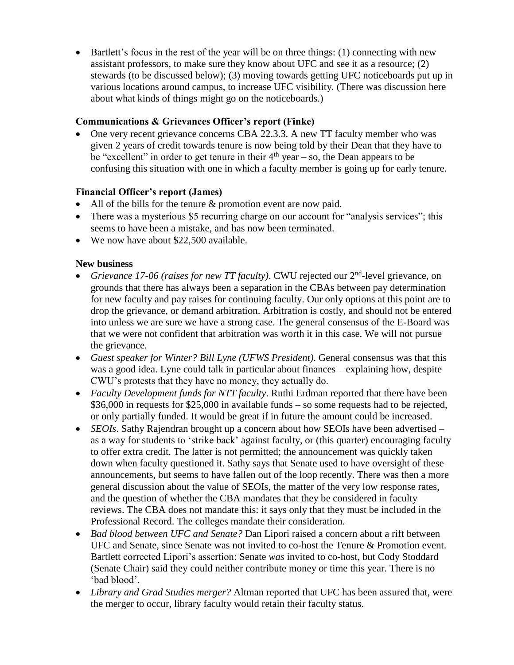• Bartlett's focus in the rest of the year will be on three things: (1) connecting with new assistant professors, to make sure they know about UFC and see it as a resource; (2) stewards (to be discussed below); (3) moving towards getting UFC noticeboards put up in various locations around campus, to increase UFC visibility. (There was discussion here about what kinds of things might go on the noticeboards.)

# **Communications & Grievances Officer's report (Finke)**

• One very recent grievance concerns CBA 22.3.3. A new TT faculty member who was given 2 years of credit towards tenure is now being told by their Dean that they have to be "excellent" in order to get tenure in their  $4<sup>th</sup>$  year – so, the Dean appears to be confusing this situation with one in which a faculty member is going up for early tenure.

# **Financial Officer's report (James)**

- All of the bills for the tenure & promotion event are now paid.
- There was a mysterious \$5 recurring charge on our account for "analysis services"; this seems to have been a mistake, and has now been terminated.
- We now have about \$22,500 available.

# **New business**

- *Grievance 17-06 (raises for new TT faculty)*. CWU rejected our 2<sup>nd</sup>-level grievance, on grounds that there has always been a separation in the CBAs between pay determination for new faculty and pay raises for continuing faculty. Our only options at this point are to drop the grievance, or demand arbitration. Arbitration is costly, and should not be entered into unless we are sure we have a strong case. The general consensus of the E-Board was that we were not confident that arbitration was worth it in this case. We will not pursue the grievance.
- *Guest speaker for Winter? Bill Lyne (UFWS President)*. General consensus was that this was a good idea. Lyne could talk in particular about finances – explaining how, despite CWU's protests that they have no money, they actually do.
- *Faculty Development funds for NTT faculty*. Ruthi Erdman reported that there have been \$36,000 in requests for \$25,000 in available funds – so some requests had to be rejected, or only partially funded. It would be great if in future the amount could be increased.
- *SEOIs*. Sathy Rajendran brought up a concern about how SEOIs have been advertised as a way for students to 'strike back' against faculty, or (this quarter) encouraging faculty to offer extra credit. The latter is not permitted; the announcement was quickly taken down when faculty questioned it. Sathy says that Senate used to have oversight of these announcements, but seems to have fallen out of the loop recently. There was then a more general discussion about the value of SEOIs, the matter of the very low response rates, and the question of whether the CBA mandates that they be considered in faculty reviews. The CBA does not mandate this: it says only that they must be included in the Professional Record. The colleges mandate their consideration.
- *Bad blood between UFC and Senate?* Dan Lipori raised a concern about a rift between UFC and Senate, since Senate was not invited to co-host the Tenure & Promotion event. Bartlett corrected Lipori's assertion: Senate *was* invited to co-host, but Cody Stoddard (Senate Chair) said they could neither contribute money or time this year. There is no 'bad blood'.
- *Library and Grad Studies merger?* Altman reported that UFC has been assured that, were the merger to occur, library faculty would retain their faculty status.